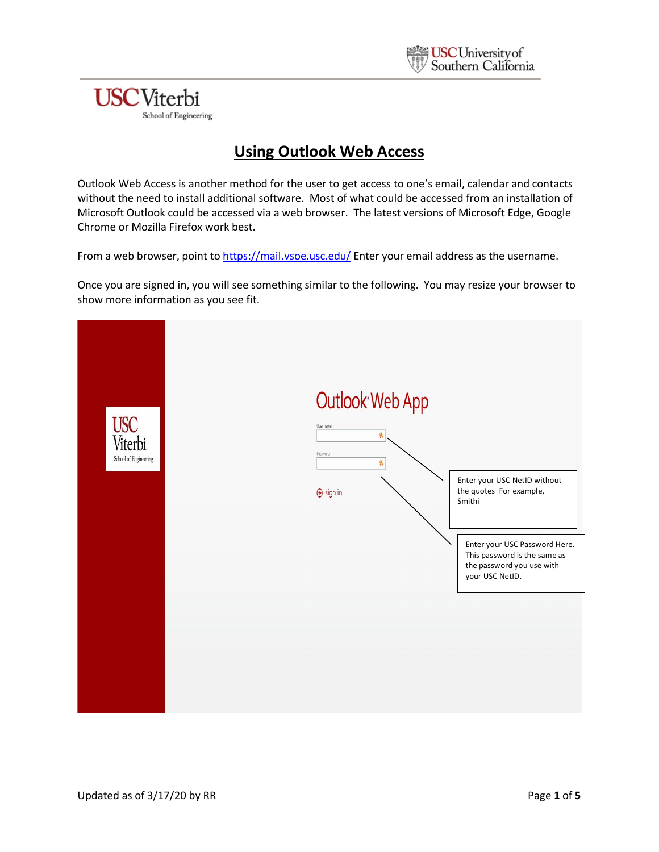

### **USC**Viterbi School of Engineering

### **Using Outlook Web Access**

Outlook Web Access is another method for the user to get access to one's email, calendar and contacts without the need to install additional software. Most of what could be accessed from an installation of Microsoft Outlook could be accessed via a web browser. The latest versions of Microsoft Edge, Google Chrome or Mozilla Firefox work best.

From a web browser, point to<https://mail.vsoe.usc.edu/> Enter your email address as the username.

Once you are signed in, you will see something similar to the following. You may resize your browser to show more information as you see fit.

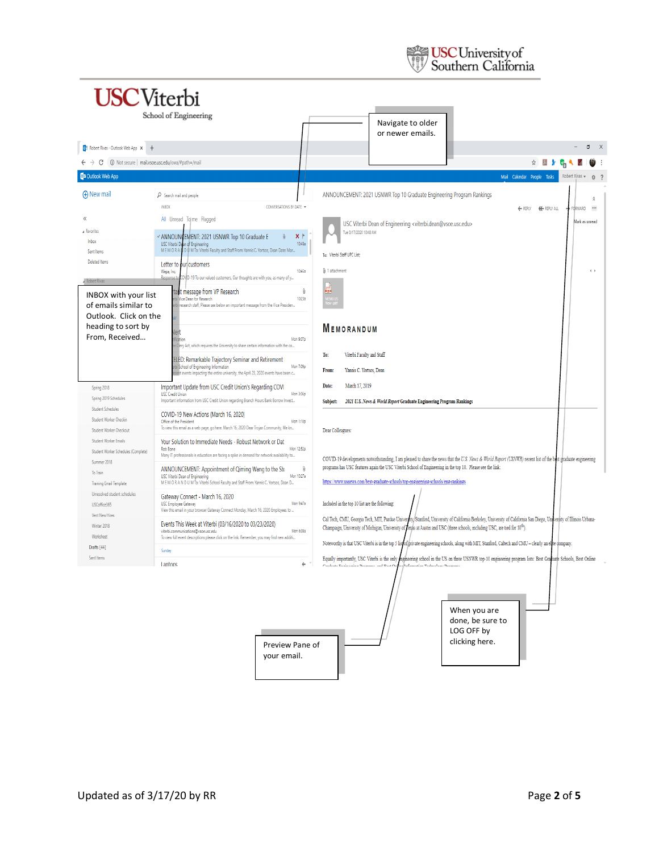

|                                                        | School of Engineering                                                                                                                   |                                                                                                                                                                                                                                                                           |
|--------------------------------------------------------|-----------------------------------------------------------------------------------------------------------------------------------------|---------------------------------------------------------------------------------------------------------------------------------------------------------------------------------------------------------------------------------------------------------------------------|
|                                                        |                                                                                                                                         |                                                                                                                                                                                                                                                                           |
|                                                        |                                                                                                                                         | Navigate to older<br>or newer emails.                                                                                                                                                                                                                                     |
| 03 Robert Rivas - Outlook Web App X +                  |                                                                                                                                         | O<br>$\mathsf{X}$                                                                                                                                                                                                                                                         |
|                                                        |                                                                                                                                         |                                                                                                                                                                                                                                                                           |
| 10 Not secure   mail.vsoe.usc.edu/owa/#path=/mail<br>С |                                                                                                                                         | ☆ 四 》<br>$\mathbf{v}_{\text{[0]}}$                                                                                                                                                                                                                                        |
| <b>O</b> <sup>2</sup> Outlook Web App                  |                                                                                                                                         | Mail Calendar People Tasks<br>Robert Rivas -<br>8 <sup>2</sup>                                                                                                                                                                                                            |
| <b>A</b> New mail                                      | $\rho$ Search mail and people                                                                                                           | ANNOUNCEMENT: 2021 USNWR Top 10 Graduate Engineering Program Rankings                                                                                                                                                                                                     |
|                                                        | <b>INBOX</b><br>CONVERSATIONS BY DATE V                                                                                                 | ← REPLY<br><b>K REPLY ALL</b><br>ORWARD<br>$\cdots$                                                                                                                                                                                                                       |
| $\alpha$                                               | All Unread Tg me Flagged                                                                                                                | Mark as unread                                                                                                                                                                                                                                                            |
| Favorites                                              |                                                                                                                                         | USC Viterbi Dean of Engineering <viterbi.dean@vsoe.usc.edu><br/>Tue 3/17/2020 10:48 AM</viterbi.dean@vsoe.usc.edu>                                                                                                                                                        |
| Inbox                                                  | X<br>√ ANNOUNCEMENT: 2021 USNWR Top 10 Graduate E<br>10:48a<br>USC Viterbi Dean of Engineering                                          |                                                                                                                                                                                                                                                                           |
| Sent Items                                             | M E M O R A ILD U M To: Viterbi Faculty and Staff From: Yannis C. Yortsos, Dean Date: Mar                                               | To: Viterbi Staff UPC List:                                                                                                                                                                                                                                               |
| Deleted Items                                          | Letter to our customers                                                                                                                 |                                                                                                                                                                                                                                                                           |
|                                                        | Wepa, Inc.<br>10:45a<br>COVID-19 To our valued customers, Our thoughts are with you, as many of y<br>Response to                        | <b>Q</b> 1 attachment<br>$\left( \cdot \right)$                                                                                                                                                                                                                           |
| <b>Robert Rivas</b>                                    | ß<br>ant message from VP Research                                                                                                       | ö,                                                                                                                                                                                                                                                                        |
| <b>INBOX with your list</b>                            | bi Vice Dean for Research<br>10:23a                                                                                                     |                                                                                                                                                                                                                                                                           |
| of emails similar to                                   | bi research staff, Please see below an important message from the Vice Presiden                                                         |                                                                                                                                                                                                                                                                           |
| Outlook. Click on the<br>heading to sort by            |                                                                                                                                         |                                                                                                                                                                                                                                                                           |
| From, Received                                         | lert                                                                                                                                    | <b>MEMORANDUM</b>                                                                                                                                                                                                                                                         |
|                                                        | Mon 9:07p<br>fication<br>. Clery Act, which requires the University to share certain information with the co                            |                                                                                                                                                                                                                                                                           |
|                                                        | [ELED: Remarkable Trajectory Seminar and Retirement                                                                                     | Viterbi Faculty and Staff<br>To:                                                                                                                                                                                                                                          |
|                                                        | bi School of Engineering Information<br>Mon 7:09p<br>cent events impacting the entire university, the April 23, 2020 events have been c | Yannis C. Yortsos, Dean<br>From:                                                                                                                                                                                                                                          |
|                                                        |                                                                                                                                         | March 17, 2019                                                                                                                                                                                                                                                            |
| Spring 2018                                            | Important Update from USC Credit Union's Regarding COVI<br><b>USC Credit Union</b><br>Mon 3:06p                                         | Date:                                                                                                                                                                                                                                                                     |
| Spring 2019 Schedules<br><b>Student Schedules</b>      | Important information from USC Credit Union regarding Branch Hours Bank Borrow Invest                                                   | 2021 U.S. News & World Report Graduate Engineering Program Rankings<br>Subject:                                                                                                                                                                                           |
| Student Worker Checkin                                 | COVID-19 New Actions (March 16, 2020)                                                                                                   |                                                                                                                                                                                                                                                                           |
| <b>Student Worker Checkout</b>                         | Office of the President<br>Mon 1:10p<br>To view this email as a web page, go here. March 16, 2020 Dear Trojan Community, We kn          | Dear Colleagues:                                                                                                                                                                                                                                                          |
| Student Worker Emails                                  | Your Solution to Immediate Needs - Robust Network or Dat                                                                                |                                                                                                                                                                                                                                                                           |
| Student Worker Schedules (Complete)                    | Mon 12:52p<br>Rob Bone<br>Many IT professionals in education are facing a spike in demand for network availability to                   |                                                                                                                                                                                                                                                                           |
| Summer 2018                                            |                                                                                                                                         | COVID-19 developments notwithstanding, I am pleased to share the news that the U.S. News & World Report (USNWR) recent list of the best graduate engineering<br>programs has USC features again the USC Viterbi School of Engineering in the top 10. Please see the link: |
| To Train                                               | ANNOUNCEMENT: Appointment of Qiming Wang to the Ste<br>ß<br>Mon 10:27a<br>USC Viterbi Dean of Engineering                               |                                                                                                                                                                                                                                                                           |
| <b>Training Email Template</b>                         | M E M O R A N D U M To: Viterbi School Faculty and Staff From: Yannis C. Yortsos, Dean D                                                | https://www.usnews.com/best-graduate-schools/top-engineering-schools/eng-rankings                                                                                                                                                                                         |
| Unresolved student schedules                           | Gateway Connect - March 16, 2020                                                                                                        |                                                                                                                                                                                                                                                                           |
| USCoffice365                                           | <b>USC Employee Gateway</b><br>Mon 9:47a<br>View this email in your browser Gateway Connect Monday, March 16, 2020 Employees to         | Included in the top 10 list are the following:                                                                                                                                                                                                                            |
| Vent New Hires                                         | Events This Week at Viterbi (03/16/2020 to 03/23/2020)                                                                                  | Cal Tech, CMU, Georgia Tech, MIT, Purdue University/Stanford, University of California Berkeley, University of California San Diego, University of Illinois Urbana-                                                                                                       |
| Winter 2018                                            | Mon 6:08a<br>viterbi.communications@vsoe.usc.edu                                                                                        | Champaign, University of Michigan, University of Texas at Austin and USC (three schools, including USC, are tied for 10 <sup>th</sup> ).                                                                                                                                  |
| Worksheet<br>Drafts [44]                               | To view full event descriptions please click on the link. Remember, you may find new additi                                             | Noteworthy is that USC Viterbi is in the top 5 list of private engineering schools, along with MIT, Stanford, Caltech and CMU - clearly an elte company.                                                                                                                  |
| Sent Items                                             | Sunday                                                                                                                                  | Equally importantly, USC Viterbi is the only ingineering school in the US on three USNWR top-10 engineering program lists: Best Graduate Schools, Best Online                                                                                                             |
|                                                        | <b>Laptops</b><br>$\leftarrow$                                                                                                          |                                                                                                                                                                                                                                                                           |
|                                                        | Preview Pane of<br>your email.                                                                                                          | When you are<br>done, be sure to<br>LOG OFF by<br>clicking here.                                                                                                                                                                                                          |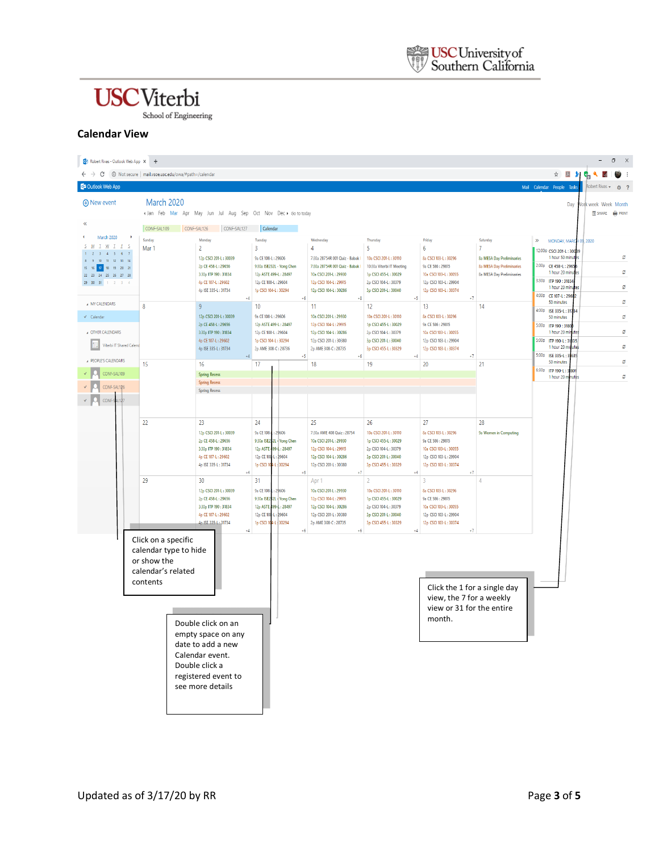### **USC**Viterbi

School of Engineering

#### **Calendar View**

| 03 Robert Rivas - Outlook Web App X +                                                                                                        |                                                                                               |                                                                                                                                               |                                                                                                                                       |                                                                                                                                                 |                                                                                                                                         |                                                                                                                                   |                                                                                                                                 | $\Box$<br>$\mathsf{X}$                                                                                                                                         |
|----------------------------------------------------------------------------------------------------------------------------------------------|-----------------------------------------------------------------------------------------------|-----------------------------------------------------------------------------------------------------------------------------------------------|---------------------------------------------------------------------------------------------------------------------------------------|-------------------------------------------------------------------------------------------------------------------------------------------------|-----------------------------------------------------------------------------------------------------------------------------------------|-----------------------------------------------------------------------------------------------------------------------------------|---------------------------------------------------------------------------------------------------------------------------------|----------------------------------------------------------------------------------------------------------------------------------------------------------------|
| $\leftarrow$ $\rightarrow$ $\leftcirc$ (i) Not secure   mail.vsoe.usc.edu/owa/#path=/calendar                                                |                                                                                               |                                                                                                                                               |                                                                                                                                       |                                                                                                                                                 |                                                                                                                                         |                                                                                                                                   |                                                                                                                                 | ☆ 困 》で                                                                                                                                                         |
| <b>D</b> <sup>2</sup> Outlook Web App<br>Mail Calendar People Tasks                                                                          |                                                                                               |                                                                                                                                               |                                                                                                                                       |                                                                                                                                                 |                                                                                                                                         |                                                                                                                                   |                                                                                                                                 |                                                                                                                                                                |
| <b>A</b> New event                                                                                                                           | March 2020                                                                                    | « Jan Feb Mar Apr May Jun Jul Aug Sep Oct Nov Dec > Gototoday                                                                                 |                                                                                                                                       |                                                                                                                                                 |                                                                                                                                         |                                                                                                                                   |                                                                                                                                 | Day<br><b>Jork week Week Month</b><br><b>学 SHARE</b> 编 PRINT                                                                                                   |
| March 2020                                                                                                                                   |                                                                                               | CONF-SAL109 CONF-SAL126 CONF-SAL127                                                                                                           | Calendar                                                                                                                              |                                                                                                                                                 |                                                                                                                                         |                                                                                                                                   |                                                                                                                                 |                                                                                                                                                                |
| $I$ $M$ $I$ $F$<br>M<br>$3 - 4 - 5 - 6 - 7$<br>$10-11-12-13-14\,$<br>15 16 17 18 19 20 21<br>22 23 24 25 26 27 28<br>29 30 31<br>$1 \t2 \t3$ | Sunday<br>Mar 1                                                                               | Monday<br>$\overline{2}$<br>12p CSCI 201-L: 30039<br>2p CE 458-L: 29656<br>3:30p ITP 190:31834<br>4p CE 107-L: 29602                          | Tuesday<br>3<br>9a CE 108-L: 29606<br>9:30a ISE232L - Yong Chen<br>12p ASTE 499-L: 28497<br>12p CE 108-L: 29604                       | Wednesday<br>$\overline{4}$<br>7:30a 28754R 001 Quiz - Babak<br>7:30a 28754R 001 Quiz - Babak<br>10a CSCI 201-L: 29930<br>12p CSCI 104-L: 29915 | Thursday<br>5<br>10a CSCI 201-L: 30110<br>10:30a Viterbi IT Meeting<br>1p CSCI 455-L: 30029<br>2p CSCI 104-L: 30379                     | Friday<br>6<br>8a CSCI 103-L: 30296<br>9a CE 586: 29815<br>10a CSCI 103-L: 30055<br>12p CSCI 103-L: 29904                         | Saturday<br>$\overline{7}$<br><b>8a MESA Day Preliminaries</b><br><b>8a MESA Day Preliminaries</b><br>8a MESA Day Preliminaries | MONDAY, MARC<br>$\gg$<br>109.2020<br>12:00p CSCI 201-L: 30089<br>ø<br>1 hour 50 minu<br>2:00p CE 458-L: 2965<br>ø<br>1 hour 20 min<br>3:30p ITP 190 : 31834    |
|                                                                                                                                              |                                                                                               | 4p ISE 335-L: 31734                                                                                                                           | 1p CSCI 104-L: 30294                                                                                                                  | 12p CSCI 104-L: 30286                                                                                                                           | 3p CSCI 201-L: 30040                                                                                                                    | 12p CSCI 103-L: 30374                                                                                                             |                                                                                                                                 | ο<br>1 hour 20 min<br>4:00p CE 107-L: 2960                                                                                                                     |
| A MY CALENDARS<br>$\checkmark$ Calendar<br>A OTHER CALENDARS<br>Viterbi IT Shared Calend                                                     | 8                                                                                             | 9<br>12p CSCI 201-L: 30039<br>2p CE 458-L: 29656<br>3:30p ITP 190: 31834<br>4p CE 107-L: 29602<br>4p ISE 335-L: 31734                         | 10<br>9a CE 108-L: 29606<br>12p ASTE 499-L: 28497<br>12p CE 108-L: 29604<br>1p CSCI 104-L: 30294<br>2p AME 308-C: 28736               | 11<br>10a CSCI 201-L: 29930<br>12p CSCI 104-L: 29915<br>12p CSCI 104-L: 30286<br>12p CSCI 201-L: 30380<br>2p AME 308-C: 28735                   | $+5$<br>12<br>10a CSCI 201-L: 30110<br>1p CSCI 455-L: 30029<br>2p CSCI 104-L: 30379<br>3p CSCI 201-L: 30040<br>3p CSCI 455-L: 30329     | 13<br>8a CSCI 103-L: 30296<br>9a CE 586: 29815<br>10a CSCI 103-L: 30055<br>12p CSCI 103-L: 29904<br>12p CSCI 103-L: 30374         | 14                                                                                                                              | ø<br>50 minutes<br>4:00p ISE 335-L: 31784<br>ø<br>50 minutes<br>5:00p ITP 190 : 3180<br>ø<br>1 hour 20 min<br>5:00p ITP 190-L: 31835<br>ø<br>1 hour 20 minutes |
| A PEOPLE'S CALENDARS                                                                                                                         |                                                                                               |                                                                                                                                               | 45                                                                                                                                    | 4Ŕ                                                                                                                                              | $\overline{4}$                                                                                                                          |                                                                                                                                   |                                                                                                                                 | 5:00p ISE 335-L: 31635<br>ø<br>50 minutes                                                                                                                      |
| <b>Q</b> CONF-SAL109<br>CONF-SAL126<br>CONF-SAL127                                                                                           | 15                                                                                            | 16<br><b>Spring Recess</b><br><b>Spring Recess</b><br><b>Spring Recess</b>                                                                    | 17                                                                                                                                    | 18                                                                                                                                              | 19                                                                                                                                      | 20                                                                                                                                | 21                                                                                                                              | 6:30p ITP 190-L: 3:801<br>ø<br>1 hour 20 minutes                                                                                                               |
|                                                                                                                                              | 22                                                                                            | 23<br>12p CSCI 201-L: 30039<br>2p CE 458-L: 29656<br>3:30p ITP 190: 31834<br>4p CE 107-L: 29602<br>4p ISE 335-L: 31734                        | 24<br>9a CE 108-1:29606<br>9:30a ISE2:2L - Yong Chen<br>12p ASTE - 99-L: 28497<br>12p CE 108-L: 29604<br>1p CSCI 104-L: 30294<br>$+6$ | 25<br>7:30a AME 408 Quiz : 28754<br>10a CSCI 201-L: 29930<br>12p CSCI 104-L: 29915<br>12p CSCI 104-L: 30286<br>12p CSCI 201-L: 30380            | 26<br>10a CSCI 201-L: 30110<br>1p CSCI 455-L: 30029<br>2p CSCI 104-L: 30379<br>3p CSCI 201-L: 30040<br>3p CSCI 455-L: 30329<br>$\Delta$ | 27<br>8a CSCI 103-L: 30296<br>9a CE 586: 29815<br>10a CSCI 103-L: 30055<br>12p CSCI 103-L: 29904<br>12p CSCI 103-L: 30374<br>$+7$ | 28<br>9a Women in Computing                                                                                                     |                                                                                                                                                                |
|                                                                                                                                              | 29                                                                                            | 30<br>12p CSCI 201-L: 30039<br>2p CE 458-L: 29656<br>3:30p ITP 190:31834<br>4p CE 107-L: 29602<br>4p ISE 335-L: 31734<br>$+4$                 | 31<br>9a CE 108-.: 29606<br>9:30a ISE2 2L - Yong Chen<br>12p ASTE - 99-L: 28497<br>12p CE 108-L: 29604<br>1p CSCI 104-L 30294<br>$+6$ | Apr 1<br>10a CSCI 201-L: 29930<br>12p CSCI 104-L: 29915<br>12p CSCI 104-L: 30286<br>12p CSCI 201-L: 30380<br>2p AME 308-C: 28735                | 10a CSCI 201-L: 30110<br>1p CSCI 455-L: 30029<br>2p CSCI 104-L: 30379<br>3p CSCI 201-L: 30040<br>3p CSCI 455-L: 30329<br>$+4$           | 3<br>8a CSCI 103-L: 30296<br>9a CE 586: 29815<br>10a CSCI 103-L: 30055<br>12p CSCI 103-L: 29904<br>12p CSCI 103-L: 30374<br>$+7$  |                                                                                                                                 |                                                                                                                                                                |
|                                                                                                                                              | Click on a specific<br>calendar type to hide<br>or show the<br>calendar's related<br>contents | Double click on an<br>empty space on any<br>date to add a new<br>Calendar event.<br>Double click a<br>registered event to<br>see more details |                                                                                                                                       |                                                                                                                                                 |                                                                                                                                         | Click the 1 for a single day<br>view, the 7 for a weekly<br>view or 31 for the entire<br>month.                                   |                                                                                                                                 |                                                                                                                                                                |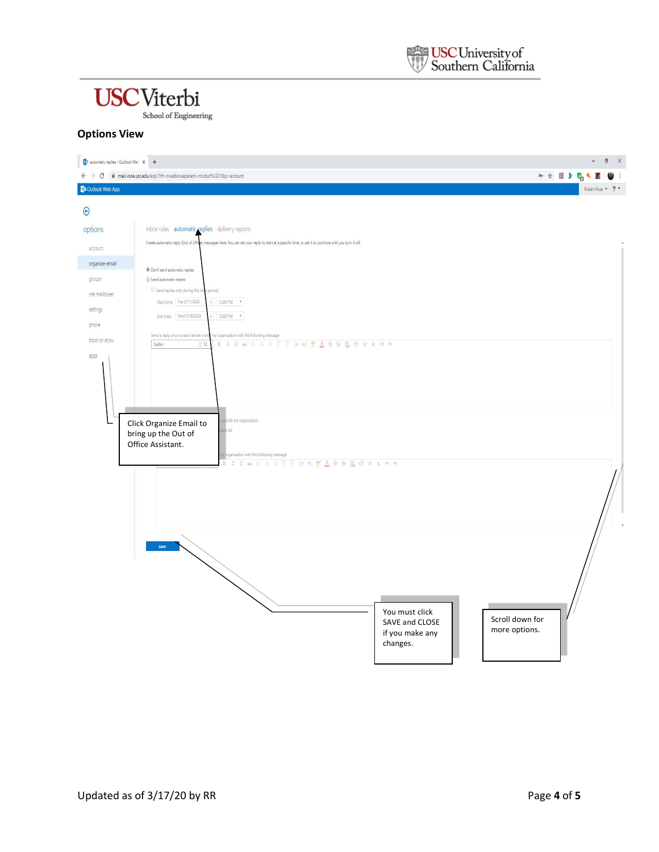## **USC**Viterbi

School of Engineering

#### **Options View**